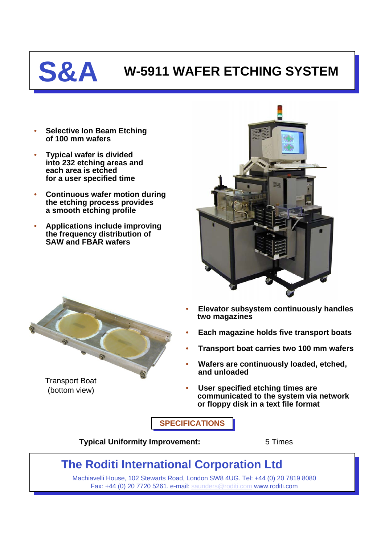

## **S&A W-5911 WAFER ETCHING SYSTEM**

- **Selective Ion Beam Etching of 100 mm wafers**
- **Typical wafer is divided into 232 etching areas and each area is etched for a user specified time**
- **Continuous wafer motion during the etching process provides a smooth etching profile**
- **Applications include improving the frequency distribution of SAW and FBAR wafers**





Transport Boat (bottom view)

- **Elevator subsystem continuously handles two magazines**
- **Each magazine holds five transport boats**
- **Transport boat carries two 100 mm wafers**
- **Wafers are continuously loaded, etched, and unloaded**
- **User specified etching times are communicated to the system via network or floppy disk in a text file format**

**SPECIFICATIONS**

**Typical Uniformity Improvement:** 5 Times

## **The Roditi International Corporation Ltd**

Machiavelli House, 102 Stewarts Road, London SW8 4UG. Tel: +44 (0) 20 7819 8080 Fax: +44 (0) 20 7720 5261. e-mail: [saunders@roditi.com](mailto:saunders@roditi.com) www.roditi.com